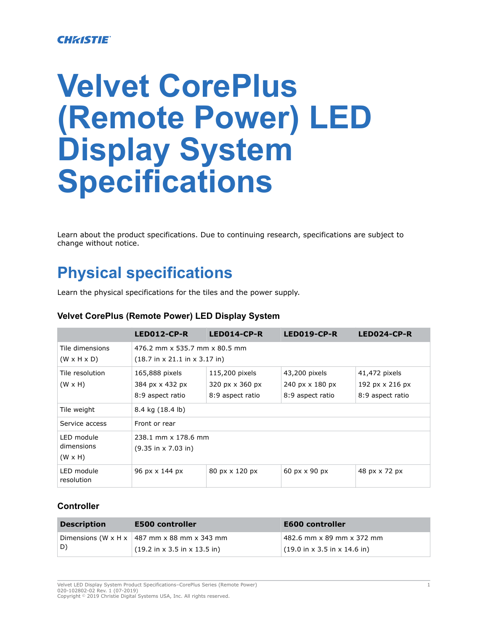#### **CHRISTIE**

# **Velvet CorePlus (Remote Power) LED Display System Specifications**

Learn about the product specifications. Due to continuing research, specifications are subject to change without notice.

# **Physical specifications**

Learn the physical specifications for the tiles and the power supply.

|                                            | LED012-CP-R                                                        | $LED014$ -CP-R   | $LED019$ -CP-R   | LED024-CP-R      |  |
|--------------------------------------------|--------------------------------------------------------------------|------------------|------------------|------------------|--|
| Tile dimensions                            | 476.2 mm x 535.7 mm x 80.5 mm                                      |                  |                  |                  |  |
| $(W \times H \times D)$                    | $(18.7 \text{ in } x 21.1 \text{ in } x 3.17 \text{ in})$          |                  |                  |                  |  |
| Tile resolution                            | 115,200 pixels<br>43,200 pixels<br>165,888 pixels<br>41,472 pixels |                  |                  |                  |  |
| $(W \times H)$                             | 384 px x 432 px                                                    | 320 px x 360 px  | 240 px x 180 px  | 192 px x 216 px  |  |
|                                            | 8:9 aspect ratio                                                   | 8:9 aspect ratio | 8:9 aspect ratio | 8:9 aspect ratio |  |
| Tile weight                                | 8.4 kg (18.4 lb)                                                   |                  |                  |                  |  |
| Service access                             | Front or rear                                                      |                  |                  |                  |  |
| LED module<br>dimensions<br>$(W \times H)$ | 238.1 mm x 178.6 mm<br>$(9.35 \text{ in} \times 7.03 \text{ in})$  |                  |                  |                  |  |
| LED module<br>resolution                   | 96 px x 144 px                                                     | 80 px x 120 px   | 60 px x 90 px    | 48 px x 72 px    |  |

#### **Velvet CorePlus (Remote Power) LED Display System**

#### **Controller**

| <b>Description</b> | <b>E500 controller</b>                                   | <b>E600 controller</b>                                   |
|--------------------|----------------------------------------------------------|----------------------------------------------------------|
|                    | Dimensions (W x H x $\vert$ 487 mm x 88 mm x 343 mm      | 482.6 mm x 89 mm x 372 mm                                |
| ID)                | $(19.2 \text{ in } x 3.5 \text{ in } x 13.5 \text{ in})$ | $(19.0 \text{ in } x 3.5 \text{ in } x 14.6 \text{ in})$ |

Velvet LED Display System Product Specifications–CorePlus Series (Remote Power) 1 020-102802-02 Rev. 1 (07-2019) Copyright © 2019 Christie Digital Systems USA, Inc. All rights reserved.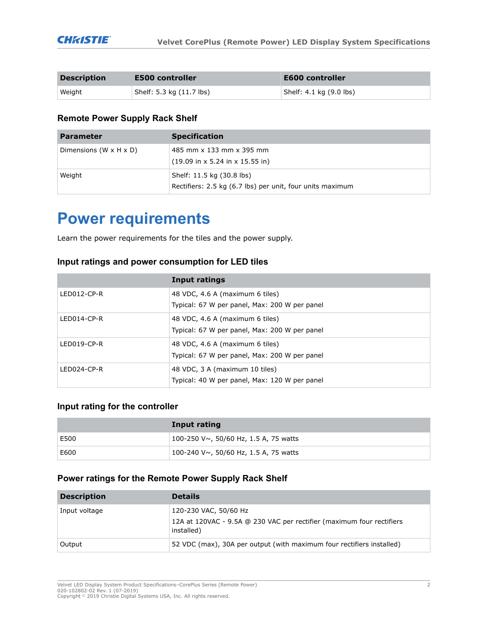| <b>Description</b> | <b>E500 controller</b>   | <b>E600 controller</b>  |
|--------------------|--------------------------|-------------------------|
| Weight             | Shelf: 5.3 kg (11.7 lbs) | Shelf: 4.1 kg (9.0 lbs) |

#### **Remote Power Supply Rack Shelf**

| <b>Parameter</b>                     | <b>Specification</b>                                                                            |
|--------------------------------------|-------------------------------------------------------------------------------------------------|
| Dimensions (W $\times$ H $\times$ D) | 485 mm x 133 mm x 395 mm<br>$(19.09 \text{ in} \times 5.24 \text{ in} \times 15.55 \text{ in})$ |
| Weight                               | Shelf: 11.5 kg (30.8 lbs)<br>Rectifiers: 2.5 kg (6.7 lbs) per unit, four units maximum          |

## **Power requirements**

Learn the power requirements for the tiles and the power supply.

#### **Input ratings and power consumption for LED tiles**

|                | Input ratings                                                                    |
|----------------|----------------------------------------------------------------------------------|
| $LEDO12-CP-R$  | 48 VDC, 4.6 A (maximum 6 tiles)<br>Typical: 67 W per panel, Max: 200 W per panel |
| $LEDO14-CP-R$  | 48 VDC, 4.6 A (maximum 6 tiles)<br>Typical: 67 W per panel, Max: 200 W per panel |
| $LED019$ -CP-R | 48 VDC, 4.6 A (maximum 6 tiles)<br>Typical: 67 W per panel, Max: 200 W per panel |
| LED024-CP-R    | 48 VDC, 3 A (maximum 10 tiles)<br>Typical: 40 W per panel, Max: 120 W per panel  |

#### **Input rating for the controller**

|      | Input rating                                       |
|------|----------------------------------------------------|
| E500 | 100-250 V $\sim$ , 50/60 Hz, 1.5 A, 75 watts       |
| E600 | $\pm$ 100-240 V $\sim$ , 50/60 Hz, 1.5 A, 75 watts |

#### **Power ratings for the Remote Power Supply Rack Shelf**

| <b>Description</b> | <b>Details</b>                                                                      |
|--------------------|-------------------------------------------------------------------------------------|
| Input voltage      | 120-230 VAC, 50/60 Hz                                                               |
|                    | 12A at 120VAC - 9.5A @ 230 VAC per rectifier (maximum four rectifiers<br>installed) |
| Output             | 52 VDC (max), 30A per output (with maximum four rectifiers installed)               |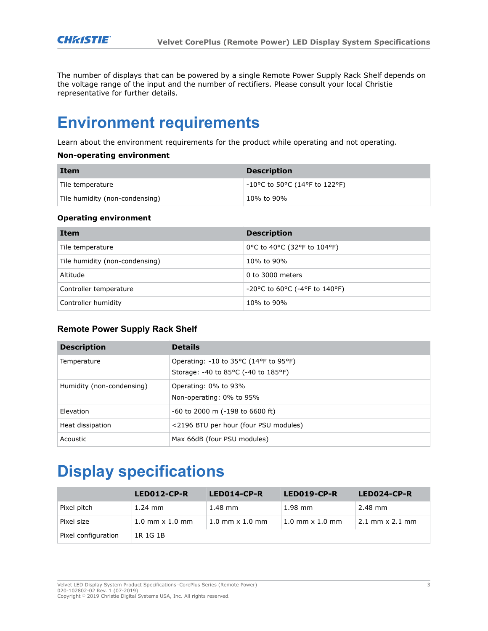The number of displays that can be powered by a single Remote Power Supply Rack Shelf depends on the voltage range of the input and the number of rectifiers. Please consult your local Christie representative for further details.

### **Environment requirements**

Learn about the environment requirements for the product while operating and not operating.

#### **Non-operating environment**

| Item                           | <b>Description</b>                                                       |
|--------------------------------|--------------------------------------------------------------------------|
| Tile temperature               | $-10^{\circ}$ C to 50 $^{\circ}$ C (14 $^{\circ}$ F to 122 $^{\circ}$ F) |
| Tile humidity (non-condensing) | 10% to 90%                                                               |

#### **Operating environment**

| Item                           | <b>Description</b>                   |
|--------------------------------|--------------------------------------|
| Tile temperature               | 0°C to 40°C (32°F to 104°F)          |
| Tile humidity (non-condensing) | 10% to 90%                           |
| Altitude                       | 0 to 3000 meters                     |
| Controller temperature         | $-20$ °C to 60°C ( $-4$ °F to 140°F) |
| Controller humidity            | 10% to 90%                           |

#### **Remote Power Supply Rack Shelf**

| <b>Description</b>        | <b>Details</b>                                                                 |
|---------------------------|--------------------------------------------------------------------------------|
| Temperature               | Operating: -10 to 35°C (14°F to 95°F)<br>Storage: -40 to 85 °C (-40 to 185 °F) |
| Humidity (non-condensing) | Operating: 0% to 93%<br>Non-operating: 0% to 95%                               |
| Elevation                 | $-60$ to 2000 m ( $-198$ to 6600 ft)                                           |
| Heat dissipation          | <2196 BTU per hour (four PSU modules)                                          |
| Acoustic                  | Max 66dB (four PSU modules)                                                    |

# **Display specifications**

|                     | LED012-CP-R                | LED014-CP-R                | LED019-CP-R                | LED024-CP-R                            |
|---------------------|----------------------------|----------------------------|----------------------------|----------------------------------------|
| Pixel pitch         | $1.24$ mm                  | $1.48$ mm                  | $1.98$ mm                  | 2.48 mm                                |
| Pixel size          | $1.0$ mm $\times$ $1.0$ mm | $1.0$ mm $\times$ $1.0$ mm | $1.0$ mm $\times$ $1.0$ mm | $2.1 \text{ mm} \times 2.1 \text{ mm}$ |
| Pixel configuration | 1R 1G 1B                   |                            |                            |                                        |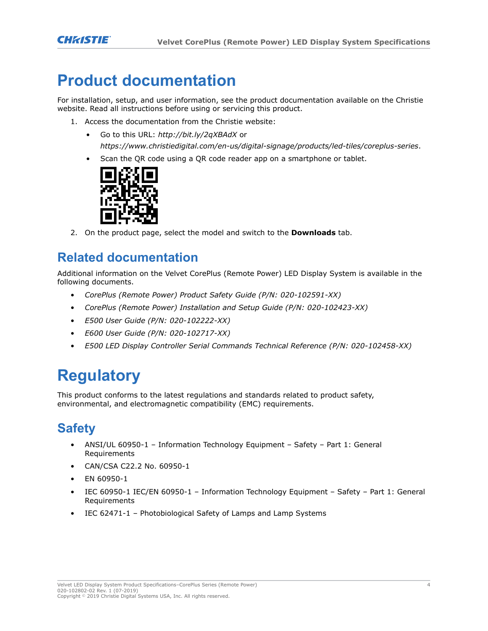## **Product documentation**

For installation, setup, and user information, see the product documentation available on the Christie website. Read all instructions before using or servicing this product.

- 1. Access the documentation from the Christie website:
	- Go to this URL: *<http://bit.ly/2qXBAdX>* or *<https://www.christiedigital.com/en-us/digital-signage/products/led-tiles/coreplus-series>*.
	- Scan the QR code using a QR code reader app on a smartphone or tablet.



2. On the product page, select the model and switch to the **Downloads** tab.

### **Related documentation**

Additional information on the Velvet CorePlus (Remote Power) LED Display System is available in the following documents.

- *CorePlus (Remote Power) Product Safety Guide (P/N: 020-102591-XX)*
- *CorePlus (Remote Power) Installation and Setup Guide (P/N: 020-102423-XX)*
- *E500 User Guide (P/N: 020-102222-XX)*
- *E600 User Guide (P/N: 020-102717-XX)*
- *E500 LED Display Controller Serial Commands Technical Reference (P/N: 020-102458-XX)*

# **Regulatory**

This product conforms to the latest regulations and standards related to product safety, environmental, and electromagnetic compatibility (EMC) requirements.

### **Safety**

- ANSI/UL 60950-1 Information Technology Equipment Safety Part 1: General Requirements
- CAN/CSA C22.2 No. 60950-1
- EN 60950-1
- IEC 60950-1 IEC/EN 60950-1 Information Technology Equipment Safety Part 1: General Requirements
- IEC 62471-1 Photobiological Safety of Lamps and Lamp Systems